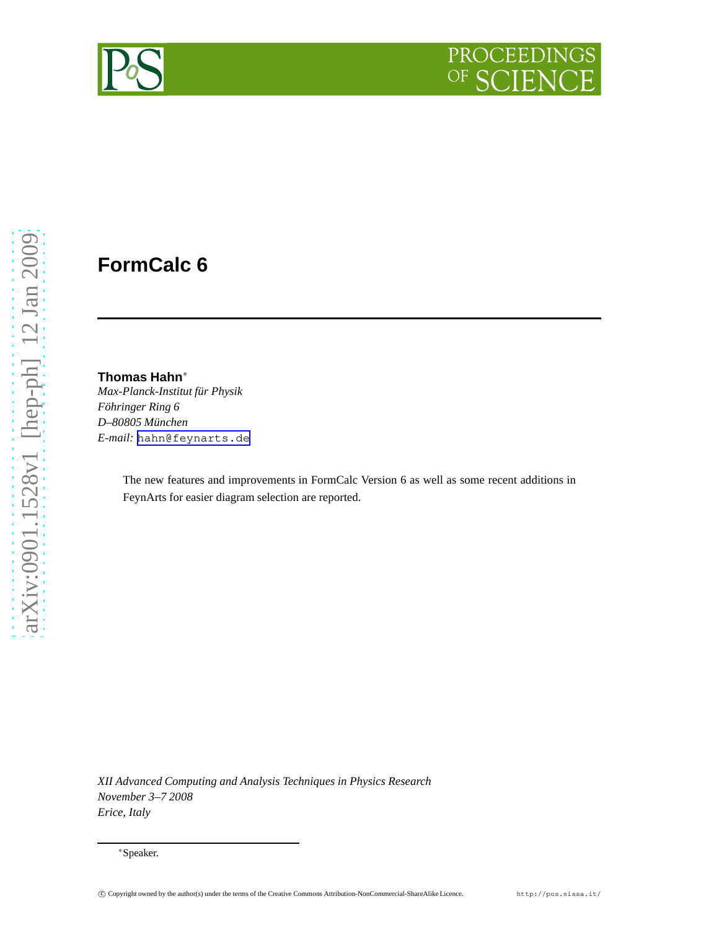

# **FormCalc 6**

#### **Thomas Hahn**<sup>∗</sup>

*Max-Planck-Institut für Physik Föhringer Ring 6 D–80805 München E-mail:* [hahn@feynarts.de](mailto:hahn@feynarts.de)

> The new features and improvements in FormCalc Version 6 as well as some recent additions in FeynArts for easier diagram selection are reported.

*XII Advanced Computing and Analysis Techniques in Physics Research November 3–7 2008 Erice, Italy*

<sup>∗</sup>Speaker.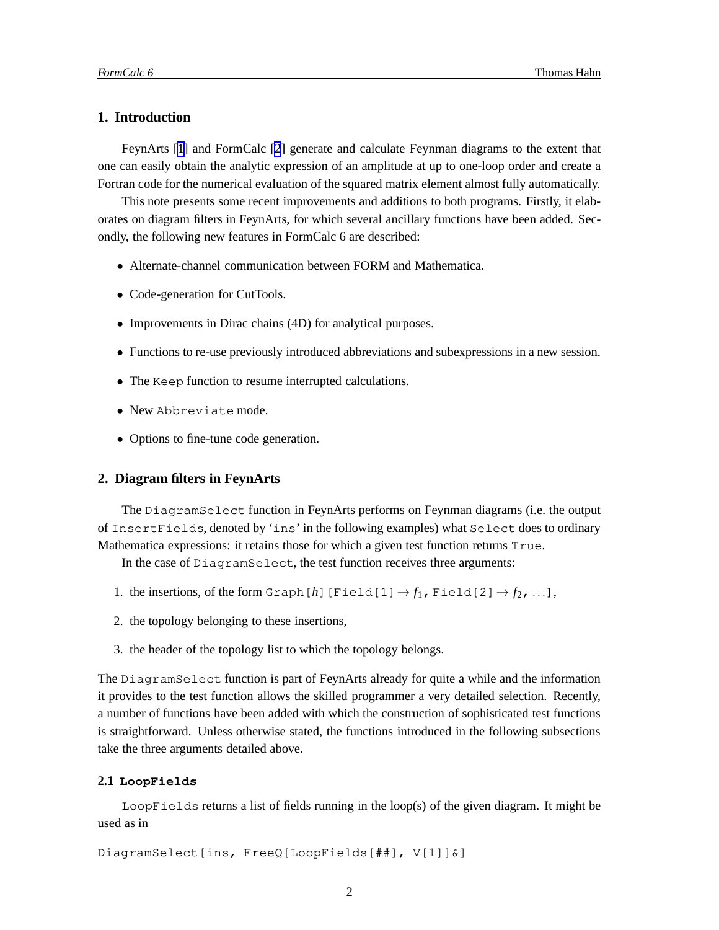# **1. Introduction**

FeynArts [\[1\]](#page-6-0) and FormCalc [\[2](#page-6-0)] generate and calculate Feynman diagrams to the extent that one can easily obtain the analytic expression of an amplitude at up to one-loop order and create a Fortran code for the numerical evaluation of the squared matrix element almost fully automatically.

This note presents some recent improvements and additions to both programs. Firstly, it elaborates on diagram filters in FeynArts, for which several ancillary functions have been added. Secondly, the following new features in FormCalc 6 are described:

- Alternate-channel communication between FORM and Mathematica.
- Code-generation for CutTools.
- Improvements in Dirac chains (4D) for analytical purposes.
- Functions to re-use previously introduced abbreviations and subexpressions in a new session.
- The Keep function to resume interrupted calculations.
- New Abbreviate mode.
- Options to fine-tune code generation.

## **2. Diagram filters in FeynArts**

The DiagramSelect function in FeynArts performs on Feynman diagrams (i.e. the output of InsertFields, denoted by 'ins' in the following examples) what Select does to ordinary Mathematica expressions: it retains those for which a given test function returns True.

In the case of DiagramSelect, the test function receives three arguments:

- 1. the insertions, of the form Graph [*h*] [Field[1]  $\rightarrow$  *f*<sub>1</sub>, Field[2]  $\rightarrow$  *f*<sub>2</sub>, ...],
- 2. the topology belonging to these insertions,
- 3. the header of the topology list to which the topology belongs.

The DiagramSelect function is part of FeynArts already for quite a while and the information it provides to the test function allows the skilled programmer a very detailed selection. Recently, a number of functions have been added with which the construction of sophisticated test functions is straightforward. Unless otherwise stated, the functions introduced in the following subsections take the three arguments detailed above.

#### **2.1 LoopFields**

LoopFields returns a list of fields running in the loop(s) of the given diagram. It might be used as in

```
DiagramSelect[ins, FreeQ[LoopFields[##], V[1]]&]
```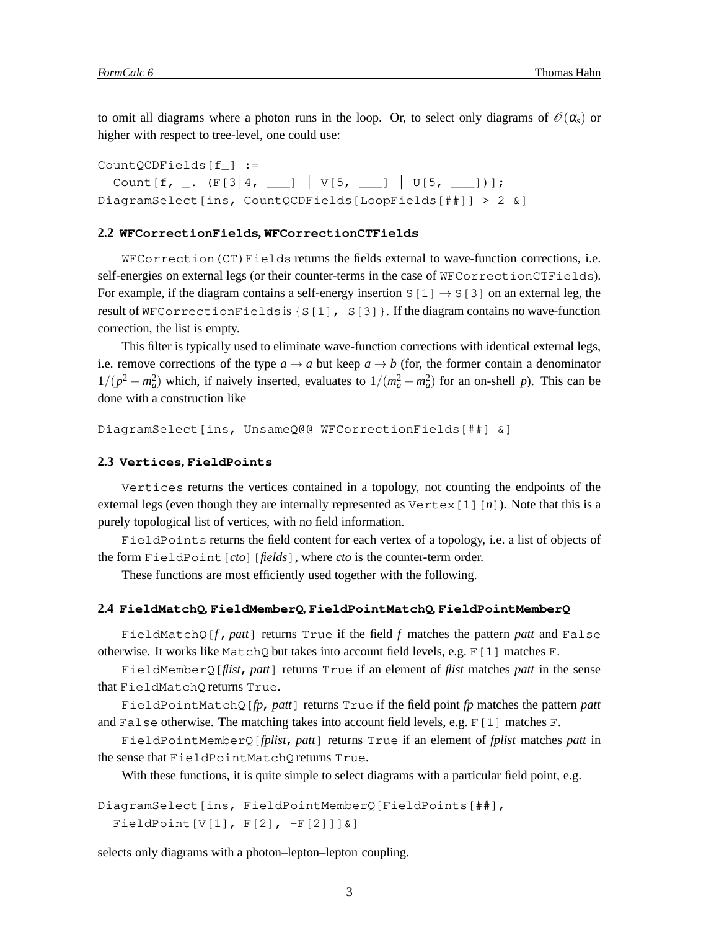to omit all diagrams where a photon runs in the loop. Or, to select only diagrams of  $\mathcal{O}(\alpha_s)$  or higher with respect to tree-level, one could use:

CountQCDFields[f\_] := Count  $[f, -1]$   $(F[3|4, -1] | V[5, -1] | U[5, -1)]$ ; DiagramSelect[ins, CountQCDFields[LoopFields[##]] > 2 &]

#### **2.2 WFCorrectionFields, WFCorrectionCTFields**

WFCorrection(CT)Fields returns the fields external to wave-function corrections, i.e. self-energies on external legs (or their counter-terms in the case of WFCorrectionCTFields). For example, if the diagram contains a self-energy insertion S[1]  $\rightarrow$  S[3] on an external leg, the result of WFCorrectionFieldsis {S[1], S[3]}. If the diagram contains no wave-function correction, the list is empty.

This filter is typically used to eliminate wave-function corrections with identical external legs, i.e. remove corrections of the type  $a \to a$  but keep  $a \to b$  (for, the former contain a denominator  $1/(p^2 - m_a^2)$  which, if naively inserted, evaluates to  $1/(m_a^2 - m_a^2)$  for an on-shell *p*). This can be done with a construction like

DiagramSelect[ins, UnsameQ@@ WFCorrectionFields[##] &]

#### **2.3 Vertices, FieldPoints**

Vertices returns the vertices contained in a topology, not counting the endpoints of the external legs (even though they are internally represented as Vertex[1][*n*]). Note that this is a purely topological list of vertices, with no field information.

FieldPoints returns the field content for each vertex of a topology, i.e. a list of objects of the form FieldPoint[*cto*][*fields*], where *cto* is the counter-term order.

These functions are most efficiently used together with the following.

#### **2.4 FieldMatchQ, FieldMemberQ, FieldPointMatchQ, FieldPointMemberQ**

FieldMatchQ[*f*,*patt*] returns True if the field *f* matches the pattern *patt* and False otherwise. It works like MatchQ but takes into account field levels, e.g.  $F[1]$  matches F.

FieldMemberQ[*flist*, *patt*] returns True if an element of *flist* matches *patt* in the sense that FieldMatchQ returns True.

FieldPointMatchQ[*fp*, *patt*] returns True if the field point *fp* matches the pattern *patt* and False otherwise. The matching takes into account field levels, e.g.  $F[1]$  matches F.

FieldPointMemberQ[*fplist*, *patt*] returns True if an element of *fplist* matches *patt* in the sense that FieldPointMatchQ returns True.

With these functions, it is quite simple to select diagrams with a particular field point, e.g.

```
DiagramSelect[ins, FieldPointMemberQ[FieldPoints[##],
 FieldPoint[V[1], F[2], -F[2]]]\
```
selects only diagrams with a photon–lepton–lepton coupling.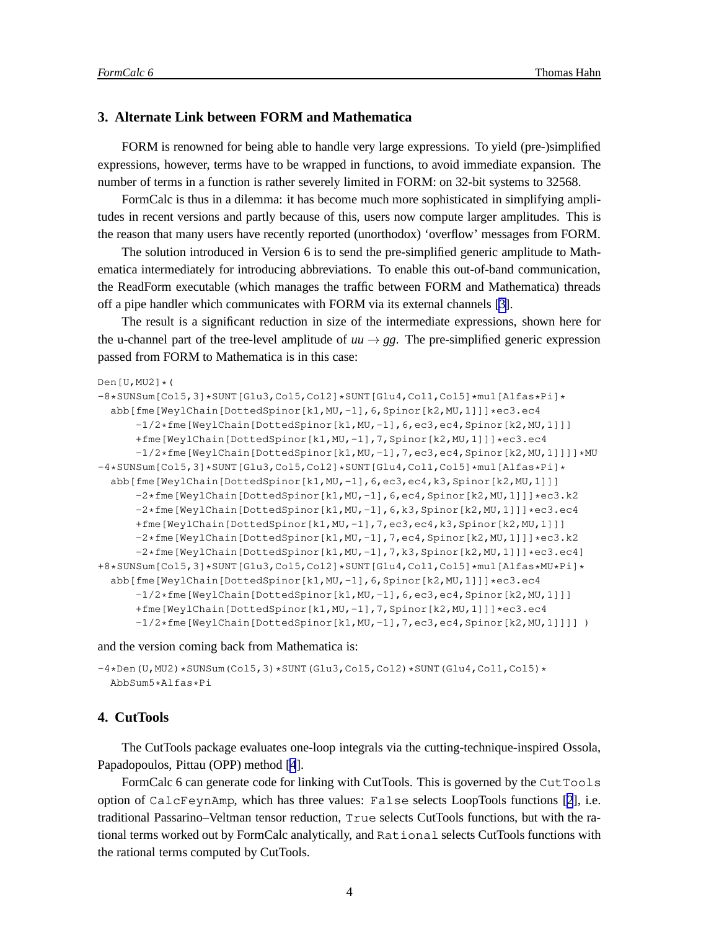# **3. Alternate Link between FORM and Mathematica**

FORM is renowned for being able to handle very large expressions. To yield (pre-)simplified expressions, however, terms have to be wrapped in functions, to avoid immediate expansion. The number of terms in a function is rather severely limited in FORM: on 32-bit systems to 32568.

FormCalc is thus in a dilemma: it has become much more sophisticated in simplifying amplitudes in recent versions and partly because of this, users now compute larger amplitudes. This is the reason that many users have recently reported (unorthodox) 'overflow' messages from FORM.

The solution introduced in Version 6 is to send the pre-simplified generic amplitude to Mathematica intermediately for introducing abbreviations. To enable this out-of-band communication, the ReadForm executable (which manages the traffic between FORM and Mathematica) threads off a pipe handler which communicates with FORM via its external channels [\[3\]](#page-6-0).

The result is a significant reduction in size of the intermediate expressions, shown here for the u-channel part of the tree-level amplitude of  $uu \rightarrow gg$ . The pre-simplified generic expression passed from FORM to Mathematica is in this case:

```
Den[U,MU2]*(
```

```
-8*SUNSum[Col5,3]*SUNT[Glu3,Col5,Col2]*SUNT[Glu4,Col1,Col5]*mul[Alfas*Pi]*
 abb[fme[WeylChain[DottedSpinor[k1,MU,-1],6,Spinor[k2,MU,1]]]*ec3.ec4
      -1/2*fme[WeylChain[DottedSpinor[k1,MU,-1],6,ec3,ec4,Spinor[k2,MU,1]]]
     +fme[WeylChain[DottedSpinor[k1,MU,-1],7,Spinor[k2,MU,1]]]*ec3.ec4
      -1/2*fme[WeylChain[DottedSpinor[k1,MU,-1],7,ec3,ec4,Spinor[k2,MU,1]]]]*MU
-4*SUNSum[Col5,3]*SUNT[Glu3,Col5,Col2]*SUNT[Glu4,Col1,Col5]*mul[Alfas*Pi]*
 abb[fme[WeylChain[DottedSpinor[k1,MU,-1],6,ec3,ec4,k3,Spinor[k2,MU,1]]]
      -2*fme[WeylChain[DottedSpinor[k1,MU,-1],6,ec4,Spinor[k2,MU,1]]]*ec3.k2
     -2*fme[WeylChain[DottedSpinor[k1,MU,-1],6,k3,Spinor[k2,MU,1]]]*ec3.ec4
     +fme[WeylChain[DottedSpinor[k1,MU,-1],7,ec3,ec4,k3,Spinor[k2,MU,1]]]
     -2*fme[WeylChain[DottedSpinor[k1,MU,-1],7,ec4,Spinor[k2,MU,1]]]*ec3.k2
      -2*fme[WeylChain[DottedSpinor[k1,MU,-1],7,k3,Spinor[k2,MU,1]]]*ec3.ec4]
+8*SUNSum[Col5,3]*SUNT[Glu3,Col5,Col2]*SUNT[Glu4,Col1,Col5]*mul[Alfas*MU*Pi]*
 abb[fme[WeylChain[DottedSpinor[k1,MU,-1],6,Spinor[k2,MU,1]]]*ec3.ec4
      -1/2*fme[WeylChain[DottedSpinor[k1,MU,-1],6,ec3,ec4,Spinor[k2,MU,1]]]
     +fme[WeylChain[DottedSpinor[k1,MU,-1],7,Spinor[k2,MU,1]]]*ec3.ec4
     -1/2*fme[WeylChain[DottedSpinor[k1,MU,-1],7,ec3,ec4,Spinor[k2,MU,1]]]] )
```
and the version coming back from Mathematica is:

```
-4*Den(U, MU2)*SUNSum(Col5,3)*SUNT(Glu3,Col5,Col2)*SUNT(Glu4,Col1,Col5)*
  AbbSum5*Alfas*Pi
```
## **4. CutTools**

The CutTools package evaluates one-loop integrals via the cutting-technique-inspired Ossola, Papadopoulos, Pittau (OPP) method [\[4](#page-6-0)].

FormCalc 6 can generate code for linking with CutTools. This is governed by the CutTools option of CalcFeynAmp, which has three values: False selects LoopTools functions [\[2](#page-6-0)], i.e. traditional Passarino–Veltman tensor reduction, True selects CutTools functions, but with the rational terms worked out by FormCalc analytically, and Rational selects CutTools functions with the rational terms computed by CutTools.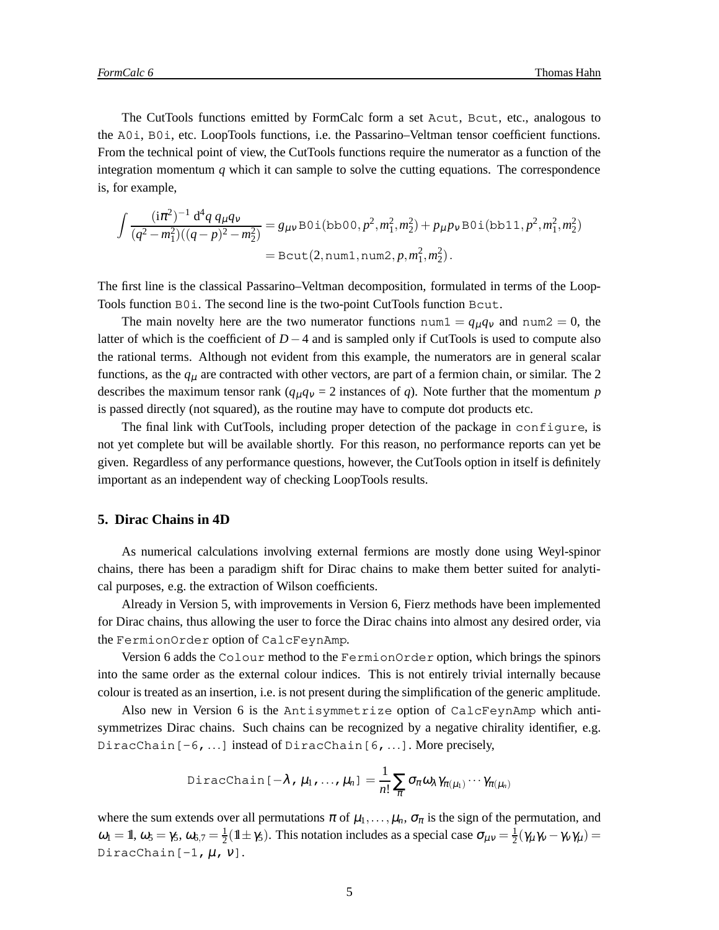The CutTools functions emitted by FormCalc form a set Acut, Bcut, etc., analogous to the A0i, B0i, etc. LoopTools functions, i.e. the Passarino–Veltman tensor coefficient functions. From the technical point of view, the CutTools functions require the numerator as a function of the integration momentum  $q$  which it can sample to solve the cutting equations. The correspondence is, for example,

$$
\int \frac{(\mathrm{i}\pi^2)^{-1} d^4q \, q_\mu q_\nu}{(q^2 - m_1^2)((q - p)^2 - m_2^2)} = g_{\mu\nu} \text{B0i(bb00, } p^2, m_1^2, m_2^2) + p_\mu p_\nu \text{B0i(bb11, } p^2, m_1^2, m_2^2)
$$
  
= \text{Bcut}(2, num1, num2,  $p, m_1^2, m_2^2$ ).

The first line is the classical Passarino–Veltman decomposition, formulated in terms of the Loop-Tools function B0i. The second line is the two-point CutTools function Bcut.

The main novelty here are the two numerator functions  $num1 = q_{\mu}q_{\nu}$  and  $num2 = 0$ , the latter of which is the coefficient of *D*−4 and is sampled only if CutTools is used to compute also the rational terms. Although not evident from this example, the numerators are in general scalar functions, as the  $q<sub>\mu</sub>$  are contracted with other vectors, are part of a fermion chain, or similar. The 2 describes the maximum tensor rank ( $q_{\mu}q_{\nu} = 2$  instances of *q*). Note further that the momentum *p* is passed directly (not squared), as the routine may have to compute dot products etc.

The final link with CutTools, including proper detection of the package in configure, is not yet complete but will be available shortly. For this reason, no performance reports can yet be given. Regardless of any performance questions, however, the CutTools option in itself is definitely important as an independent way of checking LoopTools results.

# **5. Dirac Chains in 4D**

As numerical calculations involving external fermions are mostly done using Weyl-spinor chains, there has been a paradigm shift for Dirac chains to make them better suited for analytical purposes, e.g. the extraction of Wilson coefficients.

Already in Version 5, with improvements in Version 6, Fierz methods have been implemented for Dirac chains, thus allowing the user to force the Dirac chains into almost any desired order, via the FermionOrder option of CalcFeynAmp.

Version 6 adds the Colour method to the FermionOrder option, which brings the spinors into the same order as the external colour indices. This is not entirely trivial internally because colour is treated as an insertion, i.e. is not present during the simplification of the generic amplitude.

Also new in Version 6 is the Antisymmetrize option of CalcFeynAmp which antisymmetrizes Dirac chains. Such chains can be recognized by a negative chirality identifier, e.g. DiracChain [-6,...] instead of DiracChain [6,...]. More precisely,

DiracChain 
$$
[-\lambda, \mu_1, ..., \mu_n] = \frac{1}{n!} \sum_{\pi} \sigma_{\pi} \omega_{\lambda} \gamma_{\pi(\mu_1)} \cdots \gamma_{\pi(\mu_n)}
$$

where the sum extends over all permutations  $\pi$  of  $\mu_1, \ldots, \mu_n$ ,  $\sigma_{\pi}$  is the sign of the permutation, and  $\omega_1 = \mathbb{1}, \omega_5 = \gamma_5, \omega_{6,7} = \frac{1}{2}(\mathbb{1} \pm \gamma_5)$ . This notation includes as a special case  $\sigma_{\mu\nu} = \frac{1}{2}(\gamma_{\mu}\gamma_{\nu} - \gamma_{\nu}\gamma_{\mu}) =$ DiracChain $[-1, \mu, v]$ .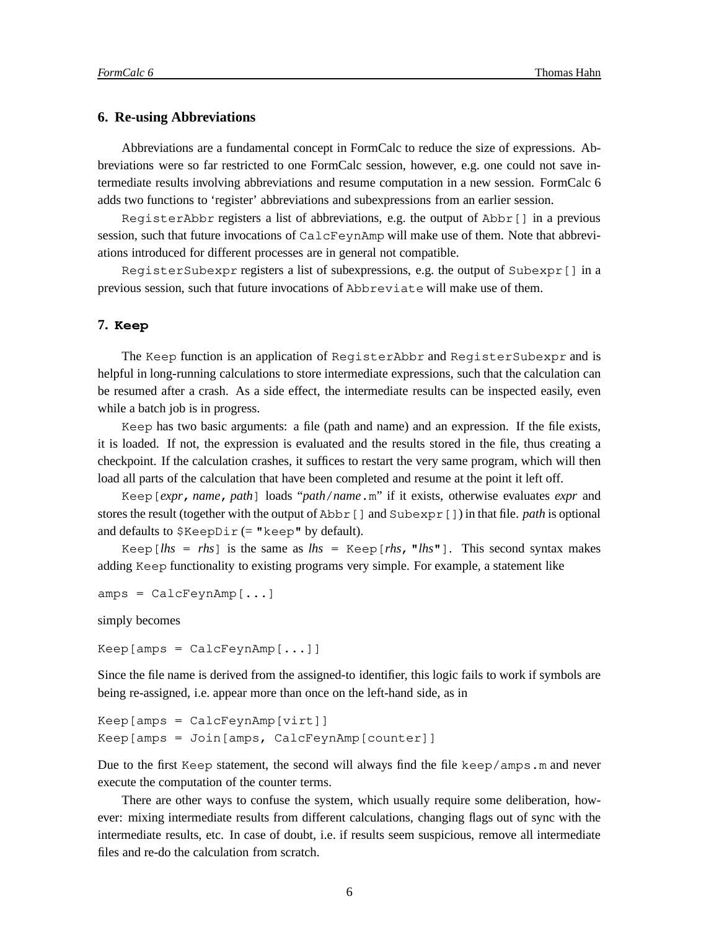#### **6. Re-using Abbreviations**

Abbreviations are a fundamental concept in FormCalc to reduce the size of expressions. Abbreviations were so far restricted to one FormCalc session, however, e.g. one could not save intermediate results involving abbreviations and resume computation in a new session. FormCalc 6 adds two functions to 'register' abbreviations and subexpressions from an earlier session.

RegisterAbbr registers a list of abbreviations, e.g. the output of Abbr[] in a previous session, such that future invocations of CalcFeynAmp will make use of them. Note that abbreviations introduced for different processes are in general not compatible.

RegisterSubexpr registers a list of subexpressions, e.g. the output of Subexpr[] in a previous session, such that future invocations of Abbreviate will make use of them.

#### **7. Keep**

The Keep function is an application of RegisterAbbr and RegisterSubexpr and is helpful in long-running calculations to store intermediate expressions, such that the calculation can be resumed after a crash. As a side effect, the intermediate results can be inspected easily, even while a batch job is in progress.

Keep has two basic arguments: a file (path and name) and an expression. If the file exists, it is loaded. If not, the expression is evaluated and the results stored in the file, thus creating a checkpoint. If the calculation crashes, it suffices to restart the very same program, which will then load all parts of the calculation that have been completed and resume at the point it left off.

Keep[*expr*, *name*, *path*] loads "*path*/*name*.m" if it exists, otherwise evaluates *expr* and stores the result (together with the output of Abbr[] and Subexpr[]) in that file. *path* is optional and defaults to  $$KeepDir (= "keep" by default).$ 

Keep  $[k]$  = *rhs* is the same as  $lhs = \text{Keep}[rhs, \text{ " } lhs\text{ "}$ . This second syntax makes adding Keep functionality to existing programs very simple. For example, a statement like

```
amps = CalcFeynAmp[...]
```
simply becomes

Keep[amps = CalcFeynAmp[...]]

Since the file name is derived from the assigned-to identifier, this logic fails to work if symbols are being re-assigned, i.e. appear more than once on the left-hand side, as in

```
Keep[amps = CalcFeynAmp[virt]]
Keep[amps = Join[amps, CalcFeynAmp[counter]]
```
Due to the first Keep statement, the second will always find the file keep/amps.m and never execute the computation of the counter terms.

There are other ways to confuse the system, which usually require some deliberation, however: mixing intermediate results from different calculations, changing flags out of sync with the intermediate results, etc. In case of doubt, i.e. if results seem suspicious, remove all intermediate files and re-do the calculation from scratch.